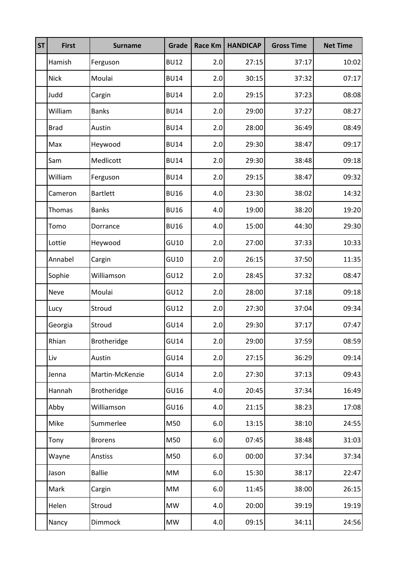| <b>ST</b> | <b>First</b> | <b>Surname</b>     | Grade       | <b>Race Km</b> | <b>HANDICAP</b> | <b>Gross Time</b> | <b>Net Time</b> |
|-----------|--------------|--------------------|-------------|----------------|-----------------|-------------------|-----------------|
|           | Hamish       | Ferguson           | <b>BU12</b> | 2.0            | 27:15           | 37:17             | 10:02           |
|           | <b>Nick</b>  | Moulai             | <b>BU14</b> | 2.0            | 30:15           | 37:32             | 07:17           |
|           | Judd         | Cargin             | <b>BU14</b> | 2.0            | 29:15           | 37:23             | 08:08           |
|           | William      | <b>Banks</b>       | <b>BU14</b> | 2.0            | 29:00           | 37:27             | 08:27           |
|           | <b>Brad</b>  | Austin             | <b>BU14</b> | 2.0            | 28:00           | 36:49             | 08:49           |
|           | Max          | Heywood            | <b>BU14</b> | 2.0            | 29:30           | 38:47             | 09:17           |
|           | Sam          | Medlicott          | <b>BU14</b> | 2.0            | 29:30           | 38:48             | 09:18           |
|           | William      | Ferguson           | <b>BU14</b> | 2.0            | 29:15           | 38:47             | 09:32           |
|           | Cameron      | <b>Bartlett</b>    | <b>BU16</b> | 4.0            | 23:30           | 38:02             | 14:32           |
|           | Thomas       | <b>Banks</b>       | <b>BU16</b> | 4.0            | 19:00           | 38:20             | 19:20           |
|           | Tomo         | Dorrance           | <b>BU16</b> | 4.0            | 15:00           | 44:30             | 29:30           |
|           | Lottie       | Heywood            | GU10        | 2.0            | 27:00           | 37:33             | 10:33           |
|           | Annabel      | Cargin             | GU10        | 2.0            | 26:15           | 37:50             | 11:35           |
|           | Sophie       | Williamson         | GU12        | 2.0            | 28:45           | 37:32             | 08:47           |
|           | <b>Neve</b>  | Moulai             | GU12        | 2.0            | 28:00           | 37:18             | 09:18           |
|           | Lucy         | Stroud             | GU12        | 2.0            | 27:30           | 37:04             | 09:34           |
|           | Georgia      | Stroud             | <b>GU14</b> | 2.0            | 29:30           | 37:17             | 07:47           |
|           | Rhian        | Brotheridge        | <b>GU14</b> | 2.0            | 29:00           | 37:59             | 08:59           |
|           | Liv          | Austin             | <b>GU14</b> | 2.0            | 27:15           | 36:29             | 09:14           |
|           | Jenna        | Martin-McKenzie    | <b>GU14</b> | 2.0            | 27:30           | 37:13             | 09:43           |
|           | Hannah       | <b>Brotheridge</b> | GU16        | 4.0            | 20:45           | 37:34             | 16:49           |
|           | Abby         | Williamson         | GU16        | 4.0            | 21:15           | 38:23             | 17:08           |
|           | Mike         | Summerlee          | M50         | $6.0\,$        | 13:15           | 38:10             | 24:55           |
|           | Tony         | <b>Brorens</b>     | M50         | $6.0\,$        | 07:45           | 38:48             | 31:03           |
|           | Wayne        | Anstiss            | M50         | $6.0\,$        | 00:00           | 37:34             | 37:34           |
|           | Jason        | <b>Ballie</b>      | MM          | $6.0\,$        | 15:30           | 38:17             | 22:47           |
|           | Mark         | Cargin             | MM          | $6.0\,$        | 11:45           | 38:00             | 26:15           |
|           | Helen        | Stroud             | <b>MW</b>   | 4.0            | 20:00           | 39:19             | 19:19           |
|           | Nancy        | Dimmock            | <b>MW</b>   | 4.0            | 09:15           | 34:11             | 24:56           |